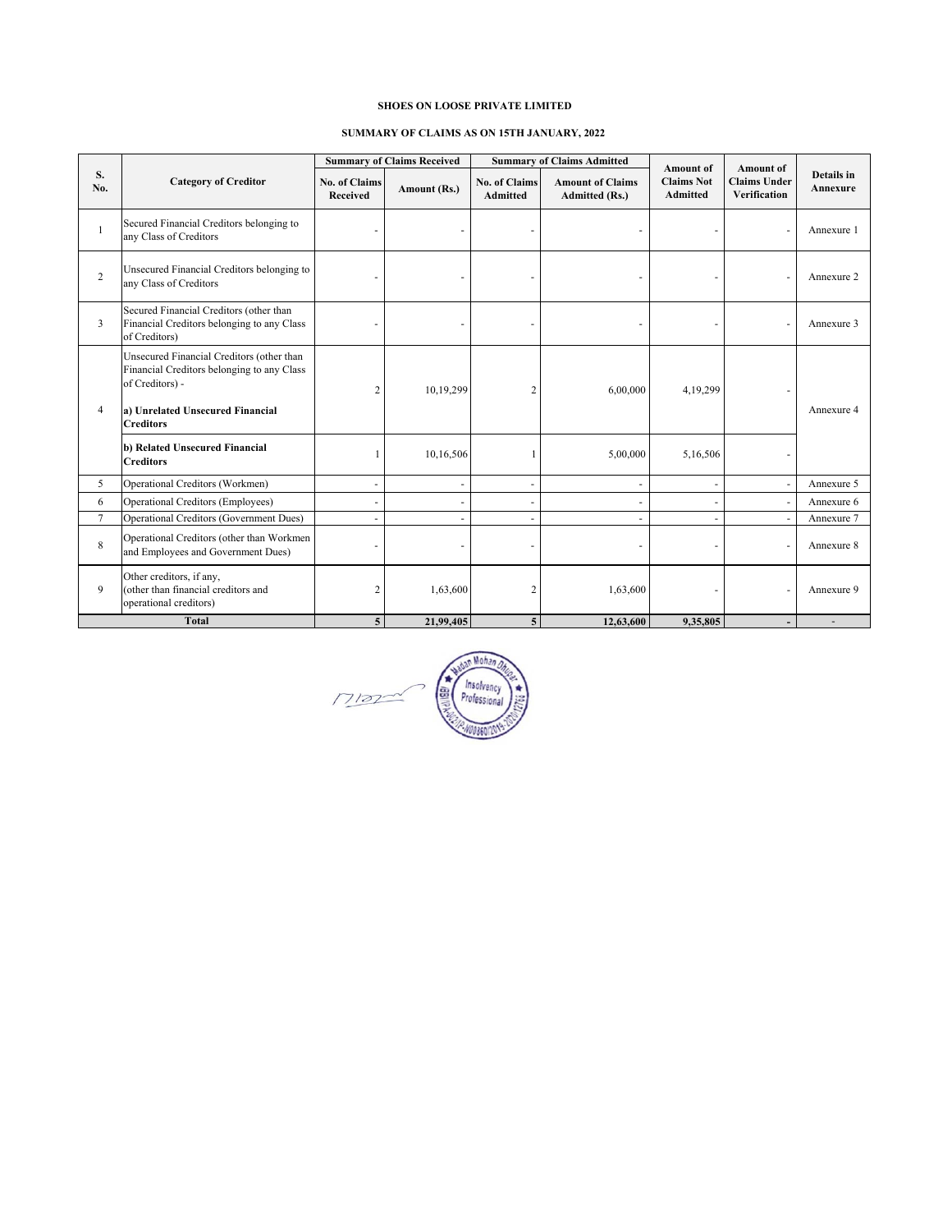#### **SHOES ON LOOSE PRIVATE LIMITED**

#### **SUMMARY OF CLAIMS AS ON 15TH JANUARY, 2022**

|                | <b>Category of Creditor</b>                                                                                                                                        | <b>Summary of Claims Received</b> |                          | <b>Summary of Claims Admitted</b> |                                                  | Amount of                            | <b>Amount of</b>                           |                        |
|----------------|--------------------------------------------------------------------------------------------------------------------------------------------------------------------|-----------------------------------|--------------------------|-----------------------------------|--------------------------------------------------|--------------------------------------|--------------------------------------------|------------------------|
| S.<br>No.      |                                                                                                                                                                    | <b>No. of Claims</b><br>Received  | Amount (Rs.)             | <b>No. of Claims</b><br>Admitted  | <b>Amount of Claims</b><br><b>Admitted (Rs.)</b> | <b>Claims Not</b><br><b>Admitted</b> | <b>Claims Under</b><br><b>Verification</b> | Details in<br>Annexure |
| 1              | Secured Financial Creditors belonging to<br>any Class of Creditors                                                                                                 |                                   |                          |                                   |                                                  |                                      |                                            | Annexure 1             |
| $\overline{2}$ | Unsecured Financial Creditors belonging to<br>any Class of Creditors                                                                                               |                                   |                          |                                   |                                                  |                                      |                                            | Annexure 2             |
| 3              | Secured Financial Creditors (other than<br>Financial Creditors belonging to any Class<br>of Creditors)                                                             |                                   | ٠                        |                                   |                                                  |                                      |                                            | Annexure 3             |
| $\overline{4}$ | Unsecured Financial Creditors (other than<br>Financial Creditors belonging to any Class<br>of Creditors) -<br>a) Unrelated Unsecured Financial<br><b>Creditors</b> | 2                                 | 10,19,299                | 2                                 | 6,00,000                                         | 4,19,299                             |                                            | Annexure 4             |
|                | b) Related Unsecured Financial<br><b>Creditors</b>                                                                                                                 |                                   | 10,16,506                |                                   | 5,00,000                                         | 5,16,506                             |                                            |                        |
| 5              | Operational Creditors (Workmen)                                                                                                                                    | ٠                                 | $\overline{\phantom{a}}$ |                                   | ٠                                                | ٠                                    | ٠                                          | Annexure 5             |
| 6              | Operational Creditors (Employees)                                                                                                                                  |                                   | $\sim$                   |                                   |                                                  |                                      |                                            | Annexure 6             |
| $\tau$         | <b>Operational Creditors (Government Dues)</b>                                                                                                                     |                                   | $\sim$                   |                                   |                                                  |                                      |                                            | Annexure 7             |
| 8              | Operational Creditors (other than Workmen<br>and Employees and Government Dues)                                                                                    |                                   | ٠                        |                                   |                                                  |                                      |                                            | Annexure 8             |
| 9              | Other creditors, if any,<br>(other than financial creditors and<br>operational creditors)                                                                          | 2                                 | 1,63,600                 | 2                                 | 1,63,600                                         |                                      |                                            | Annexure 9             |
|                | <b>Total</b>                                                                                                                                                       | 5                                 | 21,99,405                | 5                                 | 12,63,600                                        | 9,35,805                             |                                            |                        |

In Mohan 燧 e Insolvency<br>Professional  $\overline{\phantom{a}}$ 圖  $M122$ '0860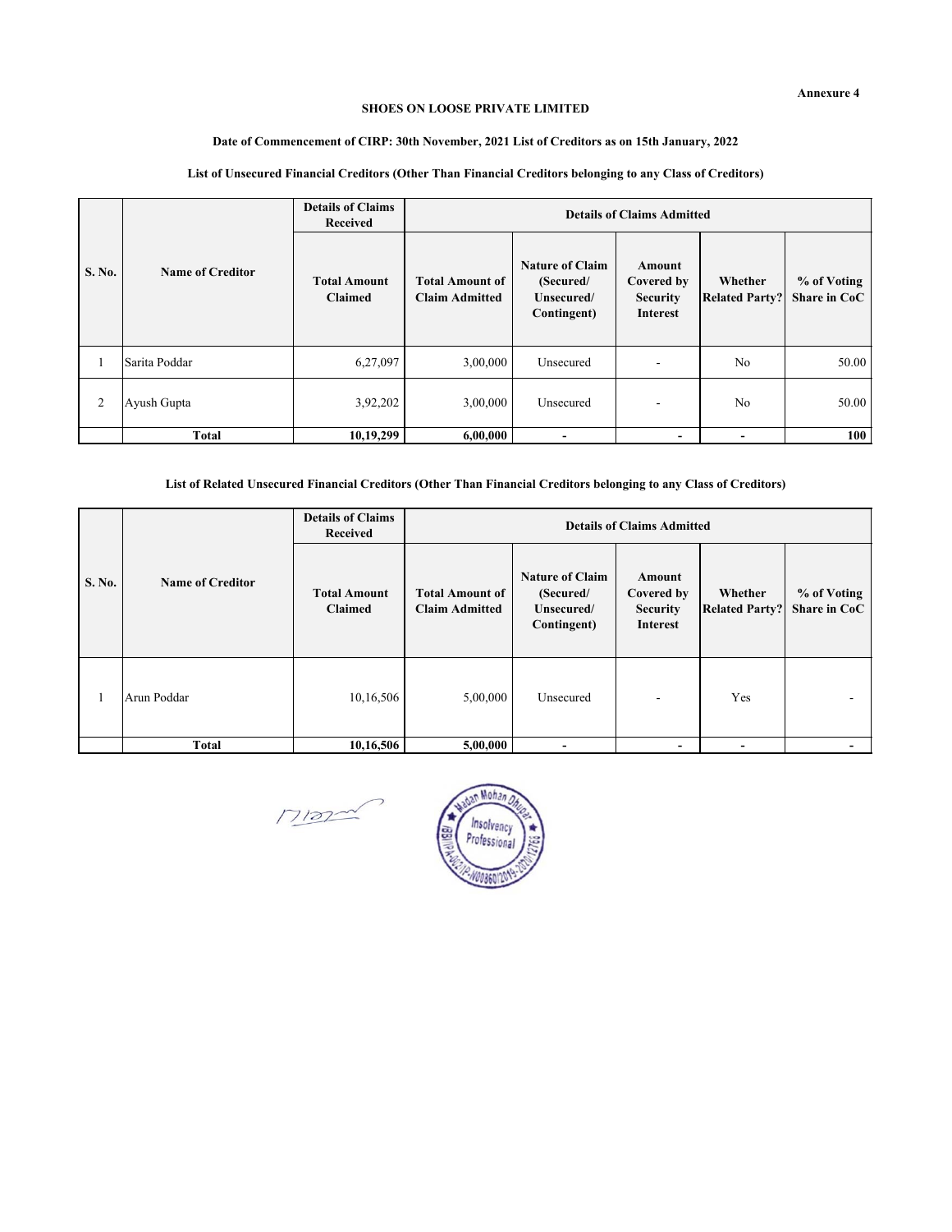#### **SHOES ON LOOSE PRIVATE LIMITED**

# **Date of Commencement of CIRP: 30th November, 2021 List of Creditors as on 15th January, 2022**

| S. No. | Name of Creditor | <b>Details of Claims</b><br><b>Received</b> | <b>Details of Claims Admitted</b>               |                                                                  |                                                            |                                  |                             |  |
|--------|------------------|---------------------------------------------|-------------------------------------------------|------------------------------------------------------------------|------------------------------------------------------------|----------------------------------|-----------------------------|--|
|        |                  | <b>Total Amount</b><br><b>Claimed</b>       | <b>Total Amount of</b><br><b>Claim Admitted</b> | <b>Nature of Claim</b><br>(Secured/<br>Unsecured/<br>Contingent) | Amount<br>Covered by<br><b>Security</b><br><b>Interest</b> | Whether<br><b>Related Party?</b> | % of Voting<br>Share in CoC |  |
|        | Sarita Poddar    | 6,27,097                                    | 3,00,000                                        | Unsecured                                                        |                                                            | N <sub>o</sub>                   | 50.00                       |  |
| 2      | Ayush Gupta      | 3,92,202                                    | 3,00,000                                        | Unsecured                                                        | ۰                                                          | N <sub>o</sub>                   | 50.00                       |  |
|        | <b>Total</b>     | 10,19,299                                   | 6,00,000                                        |                                                                  |                                                            |                                  | 100                         |  |

# **List of Unsecured Financial Creditors (Other Than Financial Creditors belonging to any Class of Creditors)**

**List of Related Unsecured Financial Creditors (Other Than Financial Creditors belonging to any Class of Creditors)**

| S. No. | Name of Creditor | <b>Details of Claims</b><br>Received  | <b>Details of Claims Admitted</b>               |                                                                  |                                                            |                                  |                             |  |
|--------|------------------|---------------------------------------|-------------------------------------------------|------------------------------------------------------------------|------------------------------------------------------------|----------------------------------|-----------------------------|--|
|        |                  | <b>Total Amount</b><br><b>Claimed</b> | <b>Total Amount of</b><br><b>Claim Admitted</b> | <b>Nature of Claim</b><br>(Secured/<br>Unsecured/<br>Contingent) | Amount<br>Covered by<br><b>Security</b><br><b>Interest</b> | Whether<br><b>Related Party?</b> | % of Voting<br>Share in CoC |  |
| п.     | Arun Poddar      | 10,16,506                             | 5,00,000                                        | Unsecured                                                        |                                                            | Yes                              |                             |  |
|        | Total            | 10,16,506                             | 5,00,000                                        | -                                                                |                                                            |                                  |                             |  |

 $M\text{max}$